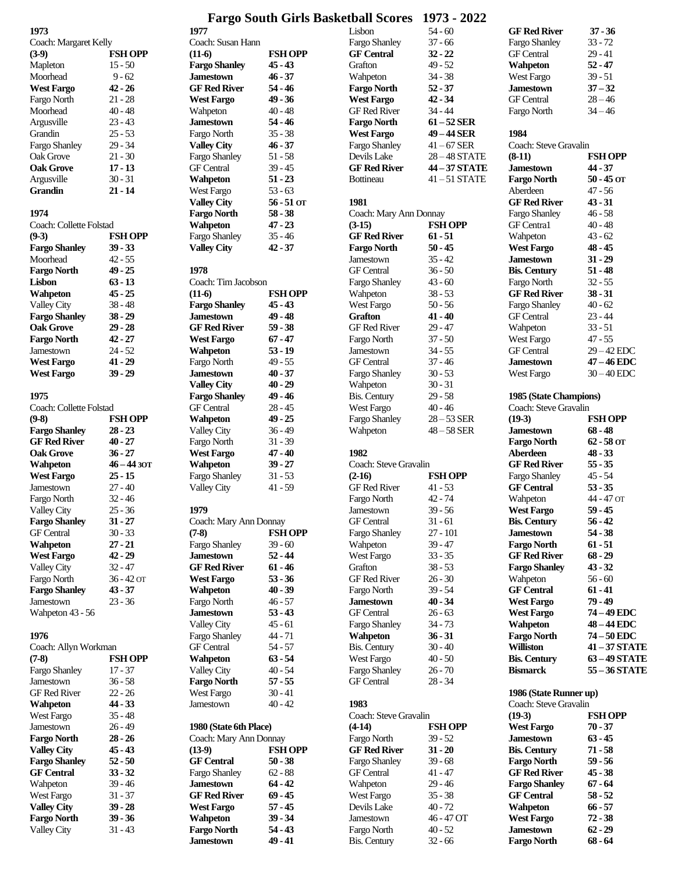| 1973                                        |                        |
|---------------------------------------------|------------------------|
| Coach: Margaret Kelly                       |                        |
| $(3-9)$                                     | <b>FSH OPP</b>         |
| Mapleton<br>Moorhead                        | 15 - 50<br>$9 - 62$    |
| <b>West Fargo</b>                           | $42 - 26$              |
| Fargo North                                 | $21 - 28$              |
| Moorhead                                    | $40 - 48$              |
| Argusville                                  | $23 - 43$              |
| Grandin                                     | $25 - 53$              |
| Fargo Shanley<br><b>Oak Grove</b>           | $29 - 34$<br>$21 - 30$ |
| <b>Oak Grove</b>                            | $17 - 13$              |
| Argusville                                  | $30 - 31$              |
| <b>Grandin</b>                              | $21 - 14$              |
|                                             |                        |
| 1974                                        |                        |
| Coach: Collette Folstad<br>$(9-3)$          | FSH OPP                |
| <b>Fargo Shanley</b>                        | $39 - 33$              |
| Moorhead                                    | $42 - 55$              |
| Fargo North                                 | $49 - 25$              |
| Lisbon                                      | $63 - 13$              |
| Wahpeton                                    | $45 - 25$              |
| <b>Valley City</b>                          | $38 - 48$              |
| <b>Fargo Shanley</b>                        | $38 - 29$<br>$29 - 28$ |
| <b>Oak Grove</b><br><b>Fargo North</b>      | $42 - 27$              |
| Jamestown                                   | $24 - 52$              |
| <b>West Fargo</b>                           | $41 - 29$              |
| <b>West Fargo</b>                           | $39 - 29$              |
|                                             |                        |
| 1975<br>Coach: Collette Folstad             |                        |
| $(9-8)$                                     | FSH OPP                |
|                                             |                        |
|                                             |                        |
| <b>Fargo Shanley</b><br><b>GF Red River</b> | $28 - 23$              |
| <b>Oak Grove</b>                            | $40 - 27$<br>$36 - 27$ |
| Wahpeton                                    | $46 - 443$ OT          |
| <b>West Fargo</b>                           | $25 - 15$              |
| Jamestown                                   | $27 - 40$              |
| Fargo North                                 | $32 - 46$              |
| Valley City                                 | $25 - 36$              |
| Fargo Shanley<br><b>GF</b> Central          | 31 - 27                |
| Wahpeton                                    | $30 - 33$<br>$27 - 21$ |
| <b>West Fargo</b>                           | $42 - 29$              |
| Valley City                                 | 32 - 47                |
| Fargo North                                 | $36 - 42$ ot           |
| <b>Fargo Shanley</b>                        | $43 - 37$              |
| Jamestown                                   | $23 - 36$              |
| Wahpeton 43 - 56                            |                        |
| 1976                                        |                        |
| Coach: Allyn Workman                        |                        |
| $(7-8)$                                     | <b>FSH OPP</b>         |
| Fargo Shanley                               | $17 - 37$              |
| Jamestown<br><b>GF Red River</b>            | $36 - 58$              |
| Wahpeton                                    | $22 - 26$<br>44 - 33   |
| West Fargo                                  | $35 - 48$              |
| Jamestown                                   | $26 - 49$              |
| <b>Fargo North</b>                          | $28 - 26$              |
| <b>Valley City</b>                          | $45 - 43$              |
| <b>Fargo Shanley</b>                        | $52 - 50$              |
| <b>GF Central</b>                           | $33 - 32$              |
| Wahpeton                                    | $39 - 46$<br>$31 - 37$ |
| West Fargo<br><b>Valley City</b>            | $39 - 28$              |
| <b>Fargo North</b><br>Valley City           | 39 - 36<br>$31 - 43$   |

| 1977                                      |                        |
|-------------------------------------------|------------------------|
| Coach: Susan Hann                         |                        |
| $(11-6)$                                  | <b>FSH OPP</b>         |
| <b>Fargo Shanley</b>                      | $45 - 43$              |
| <b>Jamestown</b>                          | $46 - 37$              |
| <b>GF Red River</b>                       | $54 - 46$              |
| <b>West Fargo</b>                         | $49 - 36$              |
| Wahpeton                                  | $40 - 48$              |
| <b>Jamestown</b>                          | $54 - 46$              |
| Fargo North                               | $35 - 38$              |
| <b>Valley City</b>                        | $46 - 37$              |
| <b>Fargo Shanley</b><br><b>GF</b> Central | $51 - 58$<br>$39 - 45$ |
| Wahpeton                                  | $51 - 23$              |
| West Fargo                                | $53 - 63$              |
| <b>Valley City</b>                        | $56 - 51$ or           |
| <b>Fargo North</b>                        | $58 - 38$              |
| Wahpeton                                  | $47 - 23$              |
| Fargo Shanley                             | $35 - 46$              |
| <b>Valley City</b>                        | $42 - 37$              |
|                                           |                        |
| 1978                                      |                        |
| Coach: Tim Jacobson                       |                        |
| $(11-6)$                                  | <b>FSH OPP</b>         |
| <b>Fargo Shanley</b>                      | $45 - 43$              |
| <b>Jamestown</b>                          | 49 - 48                |
| <b>GF Red River</b>                       | $59 - 38$              |
| <b>West Fargo</b>                         | $67 - 47$              |
| Wahpeton                                  | $53 - 19$              |
| Fargo North                               | $49 - 55$              |
| <b>Jamestown</b>                          | $40 - 37$              |
| <b>Valley City</b>                        | $40 - 29$              |
| <b>Fargo Shanley</b>                      | $49 - 46$              |
| <b>GF</b> Central                         | $28 - 45$              |
| Wahpeton                                  | $49 - 25$              |
| Valley City                               | $36 - 49$              |
| Fargo North                               | $31 - 39$              |
| <b>West Fargo</b>                         | $47 - 40$              |
| Wahpeton                                  | $39 - 27$              |
| <b>Fargo Shanley</b>                      | $31 - 53$              |
| Valley City                               | $41 - 59$              |
|                                           |                        |
| 1979                                      |                        |
| Coach: Mary Ann Donnay                    |                        |
| $(7-8)$                                   | <b>FSH OPP</b>         |
| Fargo Shanley                             | 39 - 60                |
| <b>Jamestown</b>                          | $52 - 44$              |
| <b>GF Red River</b>                       | 61 - 46                |
| <b>West Fargo</b>                         | $53 - 36$              |
| Wahpeton                                  | $40 - 39$              |
| Fargo North                               | $46 - 57$              |
| <b>Jamestown</b>                          | $53 - 43$              |
| Valley City                               | $45 - 61$              |
| Fargo Shanley                             | $44 - 71$              |
| <b>GF</b> Central                         | $54 - 57$              |
| Wahpeton                                  | $63 - 54$              |
| Valley City                               | $40 - 54$              |
| <b>Fargo North</b>                        | $57 - 55$              |
| West Fargo                                | $30 - 41$              |
| Jamestown                                 | $40 - 42$              |
|                                           |                        |
| 1980 (State 6th Place)                    |                        |
| Coach: Mary Ann Donnay                    |                        |
| $(13-9)$                                  | <b>FSH OPP</b>         |
| <b>GF Central</b>                         | $50 - 38$              |
| Fargo Shanley                             | $62 - 88$              |
| <b>Jamestown</b>                          | 64 - 42                |
| <b>GF Red River</b>                       | $69 - 45$              |
| <b>West Fargo</b>                         | $57 - 45$              |
| Wahpeton                                  | $39 - 34$<br>54 - 43   |
| <b>Fargo North</b>                        |                        |

**Jamestown 49 - 41**

| Fargo Shanley<br><b>GF Central</b>      | 54 - O<br>$37 - 66$<br>$32 - 22$ |
|-----------------------------------------|----------------------------------|
| Grafton                                 | $49 - 52$                        |
| Wahpeton<br><b>Fargo North</b>          | $34 - 38$<br>$52 - 37$           |
| <b>West Fargo</b>                       | $42 - 34$                        |
| <b>GF Red River</b>                     | $34 - 44$                        |
| <b>Fargo North</b><br><b>West Fargo</b> | $61 - 52$ SER<br>49 - 44 SER     |
| Fargo Shanley                           | $41 - 67$ SER                    |
| Devils Lake                             | $28 - 48$ STATE<br>44-37 STATE   |
| <b>GF Red River</b><br><b>Bottineau</b> | $41 - 51$ STATE                  |
|                                         |                                  |
| 1981<br>Coach: Mary Ann Donnay          |                                  |
| $(3-15)$                                | <b>FSH OPP</b>                   |
| <b>GF Red River</b>                     | $61 - 51$                        |
| <b>Fargo North</b><br>Jamestown         | $50 - 45$<br>$35 - 42$           |
| <b>GF</b> Central                       | $36 - 50$                        |
| Fargo Shanley                           | $43 - 60$                        |
| Wahpeton<br>West Fargo                  | $38 - 53$<br>$50 - 56$           |
| <b>Grafton</b>                          | $41 - 40$                        |
| <b>GF Red River</b>                     | $29 - 47$                        |
| Fargo North<br>Jamestown                | $37 - 50$<br>$34 - 55$           |
| <b>GF</b> Central                       | $37 - 46$                        |
| Fargo Shanley                           | $30 - 53$                        |
| Wahpeton<br><b>Bis. Century</b>         | $30 - 31$<br>$29 - 58$           |
| West Fargo                              | $40 - 46$                        |
| Fargo Shanley                           | $28 - 53$ SER                    |
|                                         |                                  |
| Wahpeton                                | $48 - 58$ SER                    |
| 1982                                    |                                  |
| Coach: Steve Gravalin                   |                                  |
| $(2-16)$<br><b>GF Red River</b>         | FSH OPP<br>$41 - 53$             |
| Fargo North                             | $42 - 74$                        |
| Jamestown                               | $39 - 56$                        |
| <b>GF</b> Central                       | $31 - 61$<br>$27 - 101$          |
| Fargo Shanley<br>Wahpeton               | 39 - 47                          |
| West Fargo                              | $33 - 35$                        |
| Grafton<br><b>GF Red River</b>          | $38 - 53$<br>$26 - 30$           |
| Fargo North                             | $39 - 54$                        |
| Jamestown                               | $40 - 34$                        |
| <b>GF</b> Central                       | $26 - 63$<br>$34 - 73$           |
| Fargo Shanley<br>Wahpeton               | $36 - 31$                        |
| <b>Bis. Century</b>                     | $30 - 40$                        |
| West Fargo<br>Fargo Shanley             | $40 - 50$<br>$26 - 70$           |
| <b>GF</b> Central                       | 28 - 34                          |
| 1983                                    |                                  |
| Coach: Steve Gravalin                   |                                  |
| $(4-14)$                                | FSH OPP                          |
| Fargo North<br><b>GF Red River</b>      | $39 - 52$<br>$31 - 20$           |
| Fargo Shanley                           | $39 - 68$                        |
| <b>GF</b> Central                       | $41 - 47$                        |
| Wahpeton<br>West Fargo                  | $29 - 46$<br>$35 - 38$           |
| Devils Lake                             | $40 - 72$                        |
| Jamestown<br>Fargo North                | 46 - 47 OT<br>$40 - 52$          |

| <b>GF Red River</b>                      | 37 - 36         |
|------------------------------------------|-----------------|
|                                          | $33 - 72$       |
| Fargo Shanley                            |                 |
| <b>GF</b> Central                        | $29 - 41$       |
| Wahpeton                                 | $52 - 47$       |
| West Fargo                               | $39 - 51$       |
| Jamestown                                | $37 - 32$       |
| <b>GF</b> Central                        | $28 - 46$       |
| Fargo North                              | $34 - 46$       |
|                                          |                 |
| 1984                                     |                 |
| Coach: Steve Gravalin                    |                 |
| $(8-11)$                                 | <b>FSH OPP</b>  |
| <b>Jamestown</b>                         | 44 - 37         |
| <b>Fargo North</b>                       | $50 - 45$ or    |
| Aberdeen                                 | $47 - 56$       |
| <b>GF Red River</b>                      | $43 - 31$       |
| Fargo Shanley                            | $46 - 58$       |
| <b>GF</b> Central                        | $40 - 48$       |
| Wahpeton                                 | $43 - 62$       |
| <b>West Fargo</b>                        | $48 - 45$       |
| <b>Jamestown</b>                         | $31 - 29$       |
| <b>Bis. Century</b>                      | $51 - 48$       |
| Fargo North                              | $32 - 55$       |
| <b>GF Red River</b>                      | $38 - 31$       |
| Fargo Shanley                            | $40 - 62$       |
| <b>GF</b> Central                        | $23 - 44$       |
|                                          | $33 - 51$       |
| Wahpeton                                 | $47 - 55$       |
| West Fargo                               |                 |
| <b>GF</b> Central                        | 29-42 EDC       |
| Jamestown                                | $47 - 46$ EDC   |
|                                          |                 |
| West Fargo                               | $30 - 40$ EDC   |
|                                          |                 |
| 1985 (State Champions)                   |                 |
| Coach: Steve Gravalin                    |                 |
| $(19-3)$                                 | <b>FSH OPP</b>  |
| <b>Jamestown</b>                         | 68 - 48         |
| <b>Fargo North</b>                       | 62 - 58 OT      |
| Aberdeen                                 | $48 - 33$       |
| <b>GF Red River</b>                      | $55 - 35$       |
| Fargo Shanley                            | $45 - 54$       |
| <b>GF Central</b>                        | $53 - 35$       |
|                                          | 44 - 47 OT      |
| Wahpeton                                 | 59 - 45         |
| <b>West Fargo</b><br><b>Bis. Century</b> | 56 - 42         |
| <b>Jamestown</b>                         | $54 - 38$       |
|                                          | $61 - 51$       |
| <b>Fargo North</b>                       |                 |
| <b>GF Red River</b>                      | $68 - 29$       |
| <b>Fargo Shanley</b>                     | $43 - 32$       |
| Wahpeton                                 | $56 - 60$       |
| <b>GF Central</b>                        | $61 - 41$       |
| <b>West Fargo</b>                        | 79 - 49         |
| <b>West Fargo</b>                        | 74-49 EDC       |
| Wahpeton                                 | $48 - 44$ EDC   |
| <b>Fargo North</b>                       | 74-50 EDC       |
| Williston                                | $41 - 37$ STATE |
| <b>Bis. Century</b>                      | 63-49 STATE     |
| <b>Bismarck</b>                          | $55 - 36$ STATE |
|                                          |                 |
| 1986 (State Runner up)                   |                 |
| Coach: Steve Gravalin<br>$(19-3)$        | FSH OPP         |

| $(19-3)$             | <b>FSH OI</b> |
|----------------------|---------------|
| <b>West Fargo</b>    | 70 - 37       |
| .Iamestown           | 63 - 45       |
| <b>Bis. Century</b>  | 71 - 58       |
| <b>Fargo North</b>   | 59 - 56       |
| <b>GF Red River</b>  | 45 - 38       |
| <b>Fargo Shanley</b> | 67 - 64       |
| <b>GF</b> Central    | 58 - 52       |
| <b>Wahpeton</b>      | $66 - 57$     |
| <b>West Fargo</b>    | $72 - 38$     |
| Jamestown            | $62 - 29$     |
| <b>Fargo North</b>   | 68 - 64       |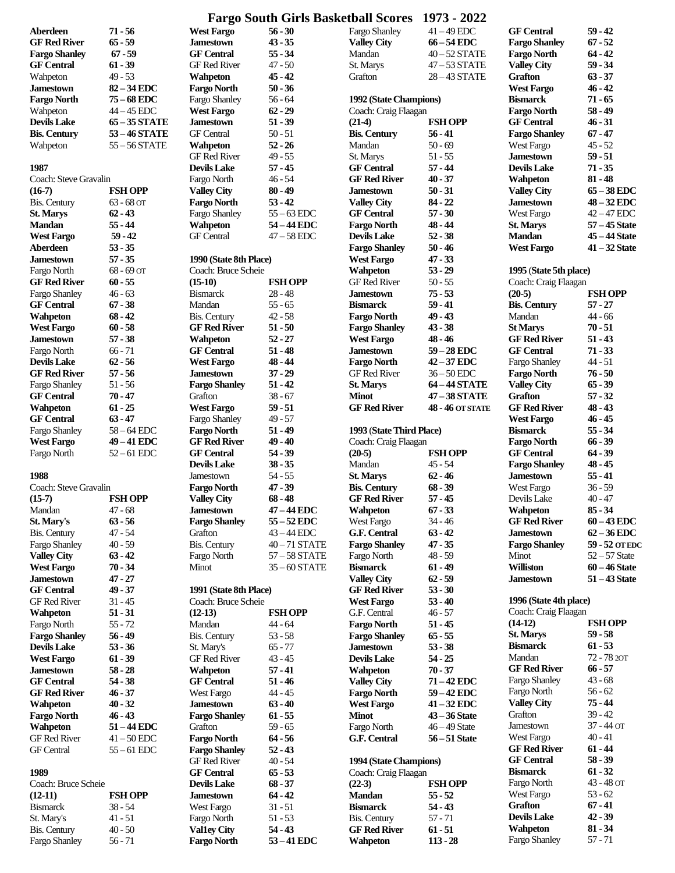| Aberdeen              | $71 - 56$       |
|-----------------------|-----------------|
|                       |                 |
| <b>GF Red River</b>   | $65 - 59$       |
| <b>Fargo Shanley</b>  | $67 - 59$       |
| <b>GF Central</b>     | $61 - 39$       |
|                       |                 |
| Wahpeton              | $49 - 53$       |
| <b>Jamestown</b>      | 82-34 EDC       |
| <b>Fargo North</b>    | 75 - 68 EDC     |
|                       |                 |
| Wahpeton              | $44 - 45$ EDC   |
| <b>Devils Lake</b>    | $65 - 35$ STATE |
| <b>Bis. Century</b>   | 53-46 STATE     |
|                       |                 |
| Wahpeton              | 55-56 STATE     |
|                       |                 |
|                       |                 |
| 1987                  |                 |
| Coach: Steve Gravalin |                 |
| $(16-7)$              | FSH OPP         |
|                       |                 |
| <b>Bis. Century</b>   | 63 - 68 OT      |
| <b>St. Marys</b>      | $62 - 43$       |
| <b>Mandan</b>         | 55 - 44         |
|                       |                 |
| <b>West Fargo</b>     | $59 - 42$       |
| Aberdeen              | $53 - 35$       |
| <b>Jamestown</b>      | $57 - 35$       |
|                       |                 |
| Fargo North           | 68 - 69 от      |
| <b>GF Red River</b>   | $60 - 55$       |
|                       | $46 - 63$       |
| Fargo Shanley         |                 |
| <b>GF Central</b>     | $67 - 38$       |
| Wahpeton              | $68 - 42$       |
|                       | $60 - 58$       |
| <b>West Fargo</b>     |                 |
| <b>Jamestown</b>      | $57 - 38$       |
| Fargo North           | $66 - 71$       |
|                       |                 |
| <b>Devils Lake</b>    | $62 - 56$       |
| <b>GF Red River</b>   | $57 - 56$       |
| Fargo Shanley         | $51 - 56$       |
|                       |                 |
| <b>GF Central</b>     | $70 - 47$       |
| Wahpeton              | $61 - 25$       |
| <b>GF Central</b>     | $63 - 47$       |
|                       |                 |
| Fargo Shanley         | 58-64 EDC       |
| <b>West Fargo</b>     | 49-41 EDC       |
| Fargo North           | $52 - 61$ EDC   |
|                       |                 |
|                       |                 |
| 1988                  |                 |
| Coach: Steve Gravalin |                 |
|                       |                 |
| $(15-7)$              | <b>FSH OPP</b>  |
| Mandan                | 47 - 68         |
| <b>St. Mary's</b>     | 63 - 56         |
|                       |                 |
| <b>Bis. Century</b>   | 47 - 54         |
| Fargo Shanley         | $40 - 59$       |
| <b>Valley City</b>    | 63 - 42         |
|                       |                 |
| <b>West Fargo</b>     | $70 - 34$       |
| <b>Jamestown</b>      | $47 - 27$       |
| <b>GF Central</b>     | 49 - 37         |
|                       |                 |
| GF Red River          | 31 - 45         |
| Wahpeton              | $51 - 31$       |
| Fargo North           | $55 - 72$       |
|                       |                 |
| <b>Fargo Shanley</b>  | 56 - 49         |
| <b>Devils Lake</b>    | $53 - 36$       |
| <b>West Fargo</b>     | $61 - 39$       |
|                       |                 |
| Jamestown             | $58 - 28$       |
| <b>GF</b> Central     | 54 - 38         |
| <b>GF Red River</b>   | $46 - 37$       |
|                       | $40 - 32$       |
| Wahpeton              |                 |
| <b>Fargo North</b>    | 46 - 43         |
| Wahpeton              | 51 – 44 EDC     |
|                       |                 |
| <b>GF Red River</b>   | $41 - 50$ EDC   |
| <b>GF</b> Central     | $55 - 61$ EDC   |
|                       |                 |
|                       |                 |
| 1989                  |                 |
| Coach: Bruce Scheie   |                 |
| $(12-11)$             | <b>FSH OPP</b>  |
|                       |                 |

Bismarck 38 - 54<br>St. Mary's 41 - 51 St. Mary's 41 - 51<br>Bis. Century 40 - 50

Fargo Shanley 56 - 71

Bis. Century

| tst rargu                               | JU .<br>. vu                      |
|-----------------------------------------|-----------------------------------|
| Jamestown                               | $43 - 35$                         |
| GF Central                              | $55 - 34$                         |
| GF Red River                            | $47 - 50$                         |
|                                         | $45 - 42$                         |
| <b>Wahpeton</b>                         |                                   |
| <b>Fargo North</b>                      | $50 - 36$                         |
| <b>Fargo Shanley</b>                    | $56 - 64$                         |
| <b>West Fargo</b>                       | $62 - 29$                         |
| Jamestown                               | $51 - 39$                         |
| <b>GF</b> Central                       | $50 - 51$                         |
|                                         |                                   |
| Wahpeton                                | $52 - 26$                         |
| <b>GF Red River</b>                     | $49 - 55$                         |
| <b>Devils Lake</b>                      | $57 - 45$                         |
| Fargo North                             | $46 - 54$                         |
| <b>Valley City</b>                      | $80 - 49$                         |
| <b>Fargo North</b>                      | $53 - 42$                         |
|                                         |                                   |
| Fargo Shanley                           | $55 - 63$ EDC                     |
| Wahpeton                                | 54 – 44 EDC                       |
| <b>GF</b> Central                       | $47 - 58$ EDC                     |
|                                         |                                   |
| 1990 (State 8th Place)                  |                                   |
|                                         |                                   |
| Coach: Bruce Scheie                     |                                   |
| $(15-10)$                               | <b>FSH OPP</b>                    |
| <b>Bismarck</b>                         | $28 - 48$                         |
| Mandan                                  | $55 - 65$                         |
| <b>Bis. Century</b>                     | $42 - 58$                         |
| <b>GF Red River</b>                     | $51 - 50$                         |
|                                         |                                   |
| <b>Wahpeton</b>                         | $52 - 27$                         |
| <b>GF Central</b>                       | $51 - 48$                         |
| <b>West Fargo</b>                       | 48 - 44                           |
| Jamestown                               | $37 - 29$                         |
| <b>Fargo Shanley</b>                    | $51 - 42$                         |
|                                         |                                   |
| Grafton                                 | $38 - 67$                         |
|                                         |                                   |
| <b>West Fargo</b>                       | 59 - 51                           |
| Fargo Shanley                           | $49 - 57$                         |
|                                         |                                   |
| <b>Fargo North</b>                      | 51 - 49                           |
| <b>GF Red River</b>                     | $49 - 40$                         |
| <b>GF Central</b>                       | $54 - 39$                         |
| <b>Devils Lake</b>                      | $38 - 35$                         |
| Jamestown                               | $54 - 55$                         |
|                                         | $47 - 39$                         |
| <b>Fargo North</b>                      |                                   |
| <b>Valley City</b>                      | $68 - 48$                         |
| <b>Jamestown</b>                        | $47 - 44$ EDC                     |
| <b>Fargo Shanley</b>                    |                                   |
| Grafton                                 | <b>55 – 52 EDC</b><br>43 – 44 EDC |
|                                         |                                   |
| <b>Bis. Century</b>                     | $40 - 71$ STATE                   |
| Fargo North                             | $57 - 58$ STATE                   |
| Minot                                   | $35 - 60$ STATE                   |
|                                         |                                   |
| 1991 (State 8th Place)                  |                                   |
| Coach: Bruce Scheie                     |                                   |
|                                         | <b>FSH OPP</b>                    |
| $(12-13)$                               |                                   |
| Mandan                                  | 44 - 64                           |
| <b>Bis. Century</b>                     | 53 - 58                           |
| St. Mary's                              | $65 - 77$                         |
| <b>GF Red River</b>                     | $43 - 45$                         |
|                                         |                                   |
| Wahpeton                                | $57 - 41$                         |
| <b>GF Central</b>                       | $51 - 46$                         |
| West Fargo                              | 44 - 45                           |
| <b>Jamestown</b>                        | $63 - 40$                         |
| <b>Fargo Shanley</b>                    | $61 - 55$                         |
| Grafton                                 | $59 - 65$                         |
|                                         |                                   |
| <b>Fargo North</b>                      | $64 - 56$                         |
| <b>Fargo Shanley</b>                    | $52 - 43$                         |
| <b>GF Red River</b>                     | $40 - 54$                         |
| <b>GF Central</b><br><b>Devils Lake</b> | $65 - 53$<br>$68 - 37$            |

**Fargo North 53 – 41EDC**

**Val1ey City 54 - 43**

| <b>West Fargo</b>                 | $56 - 30$          | Fargo Shanley                              | $41 - 49$ EDC      |
|-----------------------------------|--------------------|--------------------------------------------|--------------------|
| <b>Jamestown</b>                  | $43 - 35$          | <b>Valley City</b>                         | $66 - 54$ EDC      |
| <b>GF Central</b>                 | $55 - 34$          | Mandan                                     | $40 - 52$ STATE    |
| <b>GF Red River</b>               | $47 - 50$          | St. Marys                                  | $47 - 53$ STATE    |
| Wahpeton                          | $45 - 42$          | Grafton                                    | 28-43 STATE        |
| <b>Fargo North</b>                | $50 - 36$          |                                            |                    |
| Fargo Shanley                     | 56 - 64            | 1992 (State Champions)                     |                    |
| <b>West Fargo</b>                 | $62 - 29$          | Coach: Craig Flaagan                       |                    |
| Jamestown                         | $51 - 39$          | $(21-4)$                                   | <b>FSH OPP</b>     |
| GF Central                        | $50 - 51$          | <b>Bis. Century</b>                        | 56 - 41            |
| Wahpeton                          | $52 - 26$          | Mandan                                     | 50 - 69            |
| GF Red River                      | $49 - 55$          | St. Marys                                  | 51 - 55            |
| Devils Lake                       | $57 - 45$          | <b>GF Central</b>                          | 57 - 44            |
| Fargo North                       | 46 - 54            | <b>GF Red River</b>                        | 40 - 37            |
| <b>Valley City</b>                | $80 - 49$          | <b>Jamestown</b>                           | $50 - 31$          |
| Fargo North                       | 53 - 42            | <b>Valley City</b>                         | $84 - 22$          |
| Fargo Shanley                     | $55 - 63$ EDC      | <b>GF Central</b>                          | $57 - 30$          |
| Wahpeton                          | 54 – 44 EDC        | <b>Fargo North</b>                         | 48 - 44            |
| <b>GF</b> Central                 | $47-58$ EDC        | <b>Devils Lake</b>                         | $52 - 38$          |
|                                   |                    | <b>Fargo Shanley</b>                       | $50 - 46$          |
| 1990 (State 8th Place)            |                    | <b>West Fargo</b>                          | $47 - 33$          |
| Coach: Bruce Scheie               |                    | <b>Wahpeton</b>                            | $53 - 29$          |
| $(15-10)$                         | <b>FSH OPP</b>     | GF Red River                               | $50 - 55$          |
| <b>Bismarck</b>                   | 28 - 48            | <b>Jamestown</b>                           | $75 - 53$          |
| Mandan                            | $55 - 65$          | <b>Bismarck</b>                            | $59 - 41$          |
| <b>Bis. Century</b>               | $42 - 58$          | <b>Fargo North</b>                         | 49 - 43            |
| <b>GF Red River</b>               | $51 - 50$          | <b>Fargo Shanley</b>                       | $43 - 38$          |
| Wahpeton                          | $52 - 27$          |                                            | $48 - 46$          |
|                                   |                    | <b>West Fargo</b><br><b>Jamestown</b>      |                    |
| GF Central                        | $51 - 48$          |                                            | 59 – 28 EDC        |
| <b>West Fargo</b>                 | 48 - 44            | <b>Fargo North</b>                         | $42 - 37$ EDC      |
| Jamestown                         | $37 - 29$          | <b>GF Red River</b>                        | $36 - 50$ EDC      |
| <b>Fargo Shanley</b>              | 51 - 42            | <b>St. Marys</b>                           | 64 – 44 STATE      |
| Grafton                           | $38 - 67$          | <b>Minot</b>                               | 47 - 38 STATE      |
| <b>West Fargo</b>                 | $59 - 51$          | <b>GF Red River</b>                        | 48 - 46 OT STATE   |
| Fargo Shanley                     | 49 - 57            |                                            |                    |
| Fargo North                       | $51 - 49$          | 1993 (State Third Place)                   |                    |
| <b>GF Red River</b>               | 49 - 40            | Coach: Craig Flaagan                       |                    |
| <b>GF Central</b>                 | $54 - 39$          | $(20-5)$                                   | <b>FSH OPP</b>     |
| Devils Lake                       | $38 - 35$          | Mandan                                     | 45 - 54            |
| Jamestown                         | 54 - 55            | <b>St. Marys</b>                           | $62 - 46$          |
| Fargo North                       | $47 - 39$          | <b>Bis. Century</b>                        | $68 - 39$          |
| <b>Valley City</b>                | $68 - 48$          | <b>GF Red River</b>                        | 57 - 45            |
| Jamestown                         | $47 - 44$ EDC      | Wahpeton                                   | $67 - 33$          |
| <b>Fargo Shanley</b>              | 55 - 52 EDC        | West Fargo                                 | $34 - 46$          |
| Grafton                           | $43 - 44$ EDC      | G.F. Central                               | $63 - 42$          |
| Bis. Century                      | $40 - 71$ STATE    | <b>Fargo Shanley</b>                       | $47 - 35$          |
| Fargo North                       | 57 - 58 STATE      | Fargo North                                | $48 - 59$          |
| Minot                             | $35 - 60$ STATE    | <b>Bismarck</b>                            | 61 - 49            |
|                                   |                    | <b>Valley City</b>                         | $62 - 59$          |
| 1991 (State 8th Place)            |                    | <b>GF Red River</b>                        | $53 - 30$          |
| Coach: Bruce Scheie               |                    | <b>West Fargo</b>                          | $53 - 40$          |
| $(12-13)$                         | <b>FSH OPP</b>     | G.F. Central                               | $46 - 57$          |
| Mandan                            | 44 - 64            | <b>Fargo North</b>                         | $51 - 45$          |
| <b>Bis. Century</b>               | $53 - 58$          | <b>Fargo Shanley</b>                       | $65 - 55$          |
| St. Mary's                        | $65 - 77$          | <b>Jamestown</b>                           | $53 - 38$          |
| GF Red River                      | $43 - 45$          | <b>Devils Lake</b>                         | $54 - 25$          |
| Wahpeton                          | 57 - 41            | <b>Wahpeton</b>                            | $70 - 37$          |
| <b>GF Central</b>                 | 51 - 46            | <b>Valley City</b>                         | $71 - 42$ EDC      |
| West Fargo                        | 44 - 45            | <b>Fargo North</b>                         | 59 – 42 EDC        |
| <b>Jamestown</b>                  | $63 - 40$          | <b>West Fargo</b>                          | $41 - 32$ EDC      |
| <b>Fargo Shanley</b>              | $61 - 55$          | <b>Minot</b>                               | $43 - 36$ State    |
| Grafton                           | 59 - 65            | Fargo North                                | 46 – 49 State      |
| Fargo North                       | 64 - 56            | G.F. Central                               | 56 – 51 State      |
| Fargo Shanley                     | $52 - 43$          |                                            |                    |
| <b>GF Red River</b>               | $40 - 54$          | 1994 (State Champions)                     |                    |
| <b>GF Central</b>                 |                    | Coach: Craig Flaagan                       |                    |
| Devils Lake                       |                    |                                            |                    |
|                                   | $65 - 53$          |                                            |                    |
|                                   | $68 - 37$          | $(22-3)$                                   | <b>FSH OPP</b>     |
| Jamestown                         | $64 - 42$          | <b>Mandan</b>                              | 55 - 52            |
| West Fargo                        | $31 - 51$          | <b>Bismarck</b>                            | 54 - 43            |
| Fargo North<br><b>Val1ey City</b> | 51 - 53<br>54 - 43 | <b>Bis. Century</b><br><b>GF Red River</b> | 57 - 71<br>61 - 51 |

**Wahpeton 113 - 28**

| <b>GF Central</b>                              | $59 - 42$                          |
|------------------------------------------------|------------------------------------|
| <b>Fargo Shanley</b><br><b>Fargo North</b>     | $67 - 52$<br>$64 - 42$             |
| <b>Valley City</b>                             | 59 - 34                            |
| Grafton                                        | $63 - 37$                          |
| <b>West Fargo</b>                              | $46 - 42$                          |
| <b>Bismarck</b><br><b>Fargo North</b>          | $71 - 65$<br>$58 - 49$             |
| <b>GF Central</b>                              | $46 - 31$                          |
| <b>Fargo Shanley</b>                           | $67 - 47$                          |
| West Fargo                                     | $45 - 52$                          |
| <b>Jamestown</b>                               | $59 - 51$                          |
| <b>Devils Lake</b><br>Wahpeton                 | $71 - 35$<br>$81 - 48$             |
| <b>Valley City</b>                             | $65-38$ EDC                        |
| <b>Jamestown</b>                               | $48 - 32$ EDC                      |
| West Fargo                                     | $42 - 47$ EDC                      |
| <b>St. Marys</b><br>Mandan                     | $57 - 45$ State<br>$45 - 44$ State |
| <b>West Fargo</b>                              | $41 - 32$ State                    |
|                                                |                                    |
| 1995 (State 5th place)                         |                                    |
| Coach: Craig Flaagan<br>$(20-5)$               | <b>FSH OPP</b>                     |
| <b>Bis. Century</b>                            | $57 - 27$                          |
| Mandan                                         | 44 - 66                            |
| <b>St Marys</b>                                | $70 - 51$                          |
| <b>GF Red River</b>                            | $51 - 43$                          |
| <b>GF Central</b>                              | $71 - 33$<br>$44 - 51$             |
| Fargo Shanley<br><b>Fargo North</b>            | $76 - 50$                          |
| <b>Valley City</b>                             | $65 - 39$                          |
| Grafton                                        | $57 - 32$                          |
| <b>GF Red River</b>                            | $48 - 43$                          |
| <b>West Fargo</b><br>Bismarck                  | $46 - 45$<br>$55 - 34$             |
| <b>Fargo North</b>                             | $66 - 39$                          |
| <b>GF Central</b>                              | $64 - 39$                          |
| <b>Fargo Shanley</b>                           | $48 - 45$                          |
| <b>Jamestown</b>                               | $55 - 41$                          |
| West Fargo<br>Devils Lake                      | $36 - 59$<br>$40 - 47$             |
| Wahpeton                                       | $85 - 34$                          |
| <b>GF Red River</b>                            | $60-43$ EDC                        |
| <b>Jamestown</b>                               | $62 - 36$ EDC                      |
| <b>Fargo Shanley</b><br>Minot                  | 59 - 52 OT EDC                     |
| Williston                                      | $52 - 57$ State<br>60 – 46 State   |
| <b>Jamestown</b>                               | $51 - 43$ State                    |
|                                                |                                    |
| 1996 (State 4th place)<br>Coach: Craig Flaagan |                                    |
| $(14-12)$                                      | <b>FSH OPP</b>                     |
| <b>St. Marys</b>                               | $59 - 58$                          |
| <b>Bismarck</b>                                | $61 - 53$                          |
| Mandan<br><b>GF Red River</b>                  | 72 - 78 20т<br>$66 - 57$           |
| Fargo Shanley                                  | $43 - 68$                          |
| Fargo North                                    | $56 - 62$                          |
| <b>Valley City</b>                             | 75 - 44                            |
| Grafton                                        | $39 - 42$<br>37 - 44 от            |
| Jamestown<br>West Fargo                        | $40 - 41$                          |
| <b>GF Red River</b>                            | $61 - 44$                          |
| <b>GF Central</b>                              | $58 - 39$                          |
| <b>Bismarck</b>                                | $61 - 32$                          |
| Fargo North<br>West Fargo                      | 43 - 48 OT                         |
| Grafton                                        | $53 - 62$<br>$67 - 41$             |
| <b>Devils Lake</b>                             | $42 - 39$                          |
| Wahpeton                                       | $81 - 34$                          |
| Fargo Shanley                                  | $57 - 71$                          |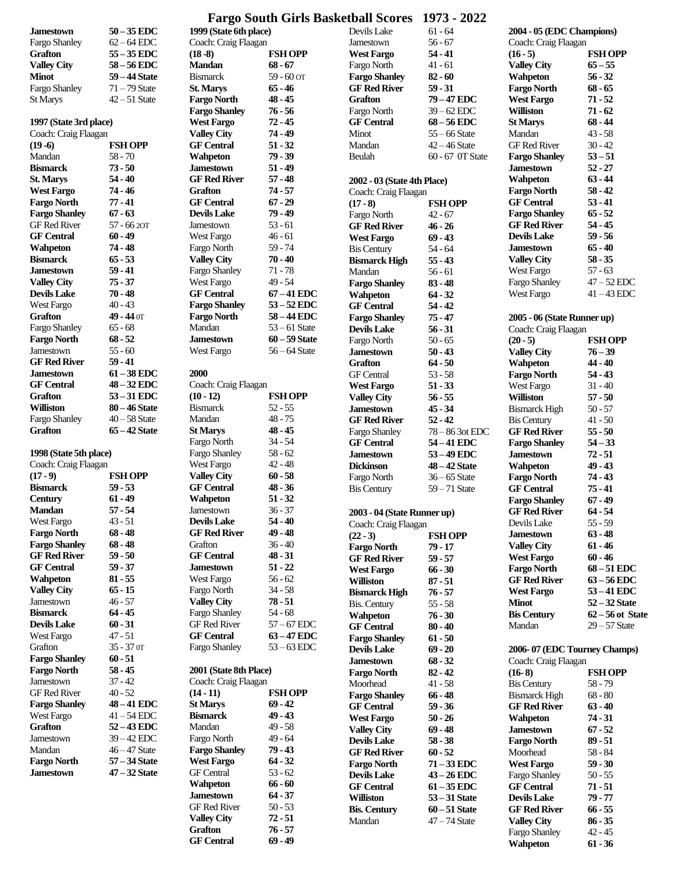**West Fargo 53 – 41EDC Minot 52 – 32 State Bis Century 62 – 56 ot State**  $29 - 57$  State

| <b>Jamestown</b>       | $50 - 35$ EDC   | 1999 (State 6th place) |                 | Devils Lake                 | $61 - 64$        | 2004 - 05 (EDC Champions)      |                  |
|------------------------|-----------------|------------------------|-----------------|-----------------------------|------------------|--------------------------------|------------------|
| Fargo Shanley          | $62 - 64$ EDC   | Coach: Craig Flaagan   |                 | Jamestown                   | $56 - 67$        | Coach: Craig Flaagan           |                  |
| <b>Grafton</b>         | $55 - 35$ EDC   | $(18-8)$               | <b>FSH OPP</b>  | <b>West Fargo</b>           | $54 - 41$        | $(16-5)$                       | <b>FSH OPP</b>   |
| <b>Valley City</b>     | 58 – 56 EDC     | <b>Mandan</b>          | $68 - 67$       | Fargo North                 | $41 - 61$        | <b>Valley City</b>             | $65 - 55$        |
| <b>Minot</b>           | 59 – 44 State   | <b>Bismarck</b>        | $59 - 60$ OT    | <b>Fargo Shanley</b>        | $82 - 60$        | <b>Wahpeton</b>                | $56 - 32$        |
| Fargo Shanley          | $71 - 79$ State | <b>St. Marys</b>       | $65 - 46$       | <b>GF Red River</b>         | $59 - 31$        | <b>Fargo North</b>             | $68 - 65$        |
| St Marys               | $42 - 51$ State | <b>Fargo North</b>     | $48 - 45$       | <b>Grafton</b>              | 79-47 EDC        | <b>West Fargo</b>              | $71 - 52$        |
|                        |                 | <b>Fargo Shanley</b>   | $76 - 56$       | Fargo North                 | $39 - 62$ EDC    | <b>Williston</b>               | $71 - 62$        |
| 1997 (State 3rd place) |                 | <b>West Fargo</b>      | $72 - 45$       | <b>GF Central</b>           | 68 – 56 EDC      | <b>St Marys</b>                | $68 - 44$        |
| Coach: Craig Flaagan   |                 | <b>Valley City</b>     | $74 - 49$       | Minot                       | $55 - 66$ State  | Mandan                         | $43 - 58$        |
| $(19-6)$               | <b>FSH OPP</b>  | <b>GF Central</b>      | $51 - 32$       | Mandan                      | $42 - 46$ State  | <b>GF Red River</b>            | $30 - 42$        |
| Mandan                 | $58 - 70$       | <b>Wahpeton</b>        | $79 - 39$       | Beulah                      | 60 - 67 OT State | <b>Fargo Shanley</b>           | $53 - 51$        |
| <b>Bismarck</b>        | $73 - 50$       | <b>Jamestown</b>       | $51 - 49$       |                             |                  | <b>Jamestown</b>               | $52 - 27$        |
|                        | $54 - 40$       | <b>GF Red River</b>    | $57 - 48$       |                             |                  |                                | $63 - 44$        |
| <b>St. Marys</b>       | $74 - 46$       | <b>Grafton</b>         | $74 - 57$       | 2002 - 03 (State 4th Place) |                  | Wahpeton                       | $58 - 42$        |
| <b>West Fargo</b>      |                 |                        |                 | Coach: Craig Flaagan        |                  | <b>Fargo North</b>             |                  |
| <b>Fargo North</b>     | $77 - 41$       | <b>GF Central</b>      | $67 - 29$       | $(17 - 8)$                  | <b>FSH OPP</b>   | <b>GF Central</b>              | $53 - 41$        |
| <b>Fargo Shanley</b>   | $67 - 63$       | <b>Devils Lake</b>     | $79 - 49$       | Fargo North                 | $42 - 67$        | <b>Fargo Shanley</b>           | $65 - 52$        |
| <b>GF Red River</b>    | 57 - 66 20T     | Jamestown              | $53 - 61$       | <b>GF Red River</b>         | $46 - 26$        | <b>GF Red River</b>            | $54 - 45$        |
| <b>GF Central</b>      | $60 - 49$       | West Fargo             | $46 - 61$       | <b>West Fargo</b>           | $69 - 43$        | <b>Devils Lake</b>             | $59 - 56$        |
| Wahpeton               | $74 - 48$       | Fargo North            | $59 - 74$       | <b>Bis Century</b>          | $54 - 64$        | <b>Jamestown</b>               | $65 - 40$        |
| <b>Bismarck</b>        | $65 - 53$       | <b>Valley City</b>     | $70 - 40$       | <b>Bismarck High</b>        | $55 - 43$        | <b>Valley City</b>             | $58 - 35$        |
| <b>Jamestown</b>       | $59 - 41$       | Fargo Shanley          | $71 - 78$       | Mandan                      | $56 - 61$        | West Fargo                     | $57 - 63$        |
| <b>Valley City</b>     | $75 - 37$       | West Fargo             | $49 - 54$       | <b>Fargo Shanley</b>        | $83 - 48$        | <b>Fargo Shanley</b>           | $47 - 52$ EDC    |
| <b>Devils Lake</b>     | $70 - 48$       | <b>GF Central</b>      | $67-41$ EDC     | <b>Wahpeton</b>             | $64 - 32$        | West Fargo                     | $41 - 43$ EDC    |
| West Fargo             | $40 - 43$       | <b>Fargo Shanley</b>   | $53 - 52$ EDC   | <b>GF Central</b>           | $54 - 42$        |                                |                  |
| <b>Grafton</b>         | $49 - 44$ or    | <b>Fargo North</b>     | 58 – 44 EDC     | <b>Fargo Shanley</b>        | $75 - 47$        | 2005 - 06 (State Runner up)    |                  |
| Fargo Shanley          | $65 - 68$       | Mandan                 | $53 - 61$ State | <b>Devils Lake</b>          | $56 - 31$        | Coach: Craig Flaagan           |                  |
| <b>Fargo North</b>     | $68 - 52$       | Jamestown              | $60 - 59$ State | Fargo North                 | $50 - 65$        | $(20-5)$                       | <b>FSH OPP</b>   |
| Jamestown              | $55 - 60$       | West Fargo             | $56 - 64$ State | <b>Jamestown</b>            | $50 - 43$        | <b>Valley City</b>             | $76 - 39$        |
| <b>GF Red River</b>    | $59 - 41$       |                        |                 | <b>Grafton</b>              | $64 - 50$        | Wahpeton                       | $44 - 40$        |
| <b>Jamestown</b>       | $61-38$ EDC     | 2000                   |                 | <b>GF</b> Central           | $53 - 58$        | <b>Fargo North</b>             | $54 - 43$        |
| <b>GF Central</b>      | $48-32$ EDC     | Coach: Craig Flaagan   |                 |                             | $51 - 33$        |                                | $31 - 40$        |
| <b>Grafton</b>         | 53 – 31 EDC     | $(10 - 12)$            | <b>FSH OPP</b>  | <b>West Fargo</b>           | $56 - 55$        | West Fargo<br><b>Williston</b> | $57 - 50$        |
| <b>Williston</b>       | 80 – 46 State   | <b>Bismarck</b>        | $52 - 55$       | <b>Valley City</b>          |                  |                                |                  |
|                        |                 |                        |                 | <b>Jamestown</b>            | $45 - 34$        | <b>Bismarck High</b>           | $50 - 57$        |
| Fargo Shanley          | $40 - 58$ State | Mandan                 | $48 - 75$       | <b>GF Red River</b>         | $52 - 42$        | <b>Bis Century</b>             | $41 - 50$        |
| <b>Grafton</b>         | $65 - 42$ State | <b>St Marys</b>        | $48 - 45$       | Fargo Shanley               | 78 - 86 3ot EDC  | <b>GF Red River</b>            | $55 - 50$        |
|                        |                 | Fargo North            | $34 - 54$       | <b>GF Central</b>           | 54 - 41 EDC      | <b>Fargo Shanley</b>           | $54 - 33$        |
| 1998 (State 5th place) |                 | Fargo Shanley          | $58 - 62$       | <b>Jamestown</b>            | $53 - 49$ EDC    | <b>Jamestown</b>               | $72 - 51$        |
| Coach: Craig Flaagan   |                 | West Fargo             | $42 - 48$       | <b>Dickinson</b>            | $48 - 42$ State  | <b>Wahpeton</b>                | $49 - 43$        |
| $(17 - 9)$             | <b>FSH OPP</b>  | <b>Valley City</b>     | $60 - 58$       | Fargo North                 | $36 - 65$ State  | <b>Fargo North</b>             | $74 - 43$        |
| <b>Bismarck</b>        | $59 - 53$       | <b>GF Central</b>      | $48 - 36$       | <b>Bis Century</b>          | $59 - 71$ State  | <b>GF Central</b>              | $75 - 41$        |
| <b>Century</b>         | $61 - 49$       | Wahpeton               | $51 - 32$       |                             |                  | <b>Fargo Shanley</b>           | $67 - 49$        |
| Mandan                 | $57 - 54$       | Jamestown              | $36 - 37$       | 2003 - 04 (State Runner up) |                  | <b>GF Red River</b>            | $64 - 54$        |
| West Fargo             | $43 - 51$       | <b>Devils Lake</b>     | $54 - 40$       | Coach: Craig Flaagan        |                  | Devils Lake                    | $55 - 59$        |
| <b>Fargo North</b>     | $68 - 48$       | <b>GF Red River</b>    | $49 - 48$       | $(22 - 3)$                  | <b>FSH OPP</b>   | <b>Jamestown</b>               | $63 - 48$        |
| <b>Fargo Shanley</b>   | $68 - 48$       | Grafton                | $36 - 40$       | <b>Fargo North</b>          | $79 - 17$        | <b>Valley City</b>             | $61 - 46$        |
| <b>GF Red River</b>    | $59 - 50$       | <b>GF Central</b>      | $48 - 31$       | <b>GF Red River</b>         | $59 - 57$        | <b>West Fargo</b>              | $60 - 46$        |
| <b>GF Central</b>      | $59 - 37$       | Jamestown              | $51 - 22$       | <b>West Fargo</b>           | $66 - 30$        | <b>Fargo North</b>             | 68-51 EDC        |
| <b>Wahpeton</b>        | $81 - 55$       | West Fargo             | $56 - 62$       | <b>Williston</b>            | $87 - 51$        | <b>GF Red River</b>            | $63 - 56$ EDC    |
| <b>Valley City</b>     | $65 - 15$       | Fargo North            | $34 - 58$       |                             |                  | <b>West Fargo</b>              | $53-41$ EDC      |
| Jamestown              | $46 - 57$       | <b>Valley City</b>     | $78 - 51$       | <b>Bismarck High</b>        | $76 - 57$        | <b>Minot</b>                   | $52 - 32$ State  |
| <b>Bismarck</b>        | $64 - 45$       | Fargo Shanley          | $54 - 68$       | <b>Bis. Century</b>         | $55 - 58$        |                                | $62 - 56$ ot Sta |
| <b>Devils Lake</b>     | $60 - 31$       | GF Red River           | $57 - 67$ EDC   | Wahpeton                    | $76 - 30$        | <b>Bis Century</b><br>Mandan   |                  |
| West Fargo             | $47 - 51$       | <b>GF Central</b>      | $63-47$ EDC     | <b>GF Central</b>           | $80 - 40$        |                                | $29 - 57$ State  |
|                        | 35 - 37 or      |                        |                 | <b>Fargo Shanley</b>        | $61 - 50$        |                                |                  |
| Grafton                |                 | <b>Fargo Shanley</b>   | $53-63$ EDC     | <b>Devils Lake</b>          | $69 - 20$        | 2006-07 (EDC Tourney Champs)   |                  |
| <b>Fargo Shanley</b>   | $60 - 51$       |                        |                 | <b>Jamestown</b>            | $68 - 32$        | Coach: Craig Flaagan           |                  |
| <b>Fargo North</b>     | $58 - 45$       | 2001 (State 8th Place) |                 | <b>Fargo North</b>          | $82 - 42$        | $(16-8)$                       | <b>FSH OPP</b>   |
| Jamestown              | $37 - 42$       | Coach: Craig Flaagan   |                 | Moorhead                    | $41 - 58$        | <b>Bis Century</b>             | $58 - 79$        |
| <b>GF Red River</b>    | $40 - 52$       | $(14 - 11)$            | <b>FSH OPP</b>  | <b>Fargo Shanley</b>        | $66 - 48$        | <b>Bismarck High</b>           | $68 - 80$        |
| <b>Fargo Shanley</b>   | 48-41 EDC       | <b>St Marys</b>        | $69 - 42$       | <b>GF Central</b>           | $59 - 36$        | <b>GF Red River</b>            | $63 - 40$        |
| West Fargo             | $41 - 54$ EDC   | <b>Bismarck</b>        | $49 - 43$       | <b>West Fargo</b>           | $50 - 26$        | <b>Wahpeton</b>                | $74 - 31$        |
| <b>Grafton</b>         | $52 - 43$ EDC   | Mandan                 | $49 - 58$       | <b>Valley City</b>          | $69 - 48$        | <b>Jamestown</b>               | $67 - 52$        |
| Jamestown              | $39 - 42$ EDC   | Fargo North            | $49 - 64$       | <b>Devils Lake</b>          | $58 - 38$        | <b>Fargo North</b>             | $89 - 51$        |
| Mandan                 | $46 - 47$ State | <b>Fargo Shanley</b>   | $79 - 43$       | <b>GF Red River</b>         | $60 - 52$        | Moorhead                       | $58 - 84$        |
| <b>Fargo North</b>     | $57 - 34$ State | <b>West Fargo</b>      | $64 - 32$       | <b>Fargo North</b>          | $71 - 33$ EDC    | <b>West Fargo</b>              | $59 - 30$        |
| <b>Jamestown</b>       | $47 - 32$ State | <b>GF</b> Central      | $53 - 62$       | <b>Devils Lake</b>          | $43-26$ EDC      | Fargo Shanley                  | $50 - 55$        |
|                        |                 | Wahpeton               | $66 - 60$       | <b>GF Central</b>           | $61 - 35$ EDC    | <b>GF Central</b>              | $71 - 51$        |
|                        |                 | Jamestown              | $64 - 37$       | <b>Williston</b>            | $53 - 31$ State  | <b>Devils Lake</b>             | $79 - 77$        |
|                        |                 | <b>GF Red River</b>    | $50 - 53$       | <b>Bis. Century</b>         | $60 - 51$ State  | <b>GF Red River</b>            | $66 - 55$        |
|                        |                 | <b>Valley City</b>     | $72 - 51$       | Mandan                      | $47 - 74$ State  |                                | $86 - 35$        |
|                        |                 | <b>Grafton</b>         | $76 - 57$       |                             |                  | <b>Valley City</b>             |                  |
|                        |                 | <b>GF Central</b>      | $69 - 49$       |                             |                  | Fargo Shanley                  | $42 - 45$        |
|                        |                 |                        |                 |                             |                  | Wahpeton                       | $61 - 36$        |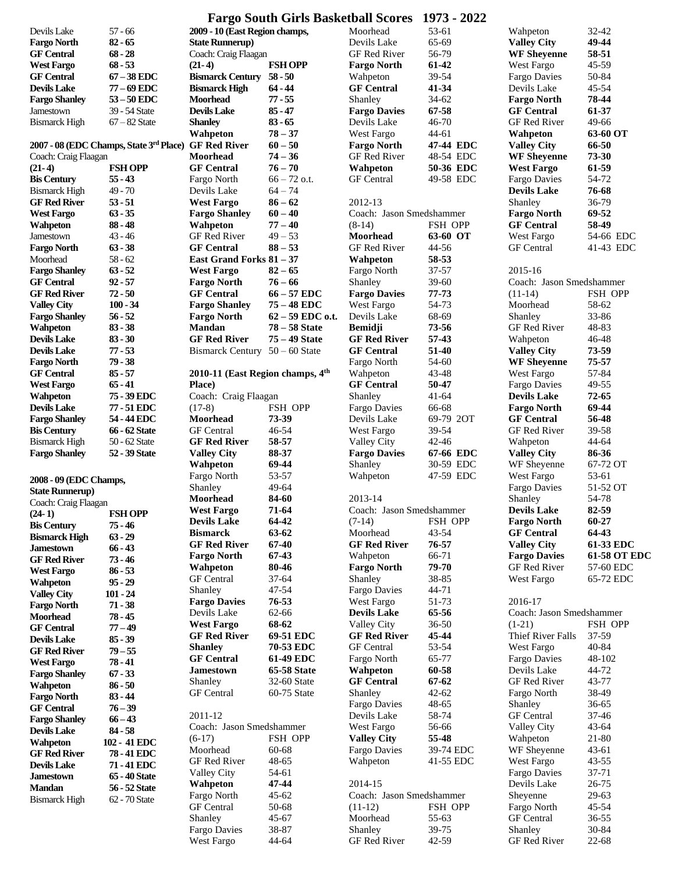|                        |                                                      |                                  | r ai go bouth Girls Dashttball beorts |                          | 11 I J    |                          |                     |
|------------------------|------------------------------------------------------|----------------------------------|---------------------------------------|--------------------------|-----------|--------------------------|---------------------|
| Devils Lake            | $57 - 66$                                            | 2009 - 10 (East Region champs,   |                                       | Moorhead                 | 53-61     | Wahpeton                 | 32-42               |
| <b>Fargo North</b>     | $82 - 65$                                            | <b>State Runnerup)</b>           |                                       | Devils Lake              | 65-69     | <b>Valley City</b>       | 49-44               |
| <b>GF Central</b>      | $68 - 28$                                            | Coach: Craig Flaagan             |                                       | GF Red River             | 56-79     | <b>WF Sheyenne</b>       | 58-51               |
| <b>West Fargo</b>      | $68 - 53$                                            | $(21-4)$                         | <b>FSH OPP</b>                        | <b>Fargo North</b>       | 61-42     | West Fargo               | 45-59               |
| <b>GF Central</b>      | $67 - 38$ EDC                                        | <b>Bismarck Century</b>          | $58 - 50$                             | Wahpeton                 | 39-54     | <b>Fargo Davies</b>      | 50-84               |
| <b>Devils Lake</b>     | 77 - 69 EDC                                          | <b>Bismarck High</b>             | $64 - 44$                             | <b>GF Central</b>        | 41-34     | Devils Lake              | 45-54               |
| <b>Fargo Shanley</b>   | $53 - 50$ EDC                                        | <b>Moorhead</b>                  | $77 - 55$                             | Shanley                  | $34 - 62$ | <b>Fargo North</b>       | 78-44               |
| Jamestown              | 39 - 54 State                                        | <b>Devils Lake</b>               | $85 - 47$                             | <b>Fargo Davies</b>      | 67-58     | <b>GF Central</b>        | 61-37               |
|                        |                                                      |                                  | $83 - 65$                             |                          | 46-70     | GF Red River             | 49-66               |
| <b>Bismarck High</b>   | $67 - 82$ State                                      | <b>Shanley</b>                   |                                       | Devils Lake              |           |                          |                     |
|                        |                                                      | Wahpeton                         | $78 - 37$                             | West Fargo               | 44-61     | Wahpeton                 | 63-60 OT            |
|                        | 2007 - 08 (EDC Champs, State 3rd Place) GF Red River |                                  | $60 - 50$                             | <b>Fargo North</b>       | 47-44 EDC | <b>Valley City</b>       | 66-50               |
| Coach: Craig Flaagan   |                                                      | Moorhead                         | $74 - 36$                             | GF Red River             | 48-54 EDC | <b>WF Sheyenne</b>       | 73-30               |
| $(21-4)$               | FSH OPP                                              | <b>GF Central</b>                | $76 - 70$                             | Wahpeton                 | 50-36 EDC | <b>West Fargo</b>        | 61-59               |
| <b>Bis Century</b>     | $55 - 43$                                            | Fargo North                      | $66 - 72$ o.t.                        | <b>GF</b> Central        | 49-58 EDC | <b>Fargo Davies</b>      | 54-72               |
| <b>Bismarck High</b>   | $49 - 70$                                            | Devils Lake                      | $64 - 74$                             |                          |           | <b>Devils Lake</b>       | 76-68               |
| <b>GF Red River</b>    | $53 - 51$                                            | <b>West Fargo</b>                | $86 - 62$                             | 2012-13                  |           | Shanley                  | 36-79               |
| <b>West Fargo</b>      | $63 - 35$                                            | <b>Fargo Shanley</b>             | $60 - 40$                             | Coach: Jason Smedshammer |           | <b>Fargo North</b>       | 69-52               |
| <b>Wahpeton</b>        | $88 - 48$                                            | Wahpeton                         | $77 - 40$                             | $(8-14)$                 | FSH OPP   | <b>GF Central</b>        | 58-49               |
| Jamestown              | $43 - 46$                                            | <b>GF Red River</b>              | $49 - 53$                             | Moorhead                 | 63-60 OT  | West Fargo               | 54-66 EDC           |
|                        | $63 - 38$                                            | <b>GF</b> Central                | $88 - 53$                             | GF Red River             | 44-56     | <b>GF</b> Central        | 41-43 EDC           |
| <b>Fargo North</b>     |                                                      |                                  |                                       |                          |           |                          |                     |
| Moorhead               | $58 - 62$                                            | East Grand Forks $81 - 37$       |                                       | Wahpeton                 | 58-53     |                          |                     |
| <b>Fargo Shanley</b>   | $63 - 52$                                            | <b>West Fargo</b>                | $82 - 65$                             | Fargo North              | 37-57     | 2015-16                  |                     |
| <b>GF Central</b>      | $92 - 57$                                            | <b>Fargo North</b>               | $76 - 66$                             | Shanley                  | 39-60     | Coach: Jason Smedshammer |                     |
| <b>GF Red River</b>    | $72 - 50$                                            | <b>GF Central</b>                | $66 - 57$ EDC                         | <b>Fargo Davies</b>      | 77-73     | $(11-14)$                | FSH OPP             |
| <b>Valley City</b>     | $100 - 34$                                           | <b>Fargo Shanley</b>             | $75 - 48$ EDC                         | West Fargo               | 54-73     | Moorhead                 | 58-62               |
| <b>Fargo Shanley</b>   | $56 - 52$                                            | <b>Fargo North</b>               | $62 - 59$ EDC o.t.                    | Devils Lake              | 68-69     | Shanley                  | 33-86               |
| <b>Wahpeton</b>        | $83 - 38$                                            | <b>Mandan</b>                    | $78 - 58$ State                       | <b>Bemidji</b>           | 73-56     | <b>GF Red River</b>      | 48-83               |
| <b>Devils Lake</b>     | $83 - 30$                                            | <b>GF Red River</b>              | $75 - 49$ State                       | <b>GF Red River</b>      | 57-43     | Wahpeton                 | 46-48               |
| <b>Devils Lake</b>     | $77 - 53$                                            | Bismarck Century $50 - 60$ State |                                       | <b>GF</b> Central        | 51-40     | <b>Valley City</b>       | 73-59               |
| <b>Fargo North</b>     | $79 - 38$                                            |                                  |                                       | Fargo North              | 54-60     | <b>WF Sheyenne</b>       | 75-57               |
| <b>GF Central</b>      | $85 - 57$                                            | 2010-11 (East Region champs, 4th |                                       | Wahpeton                 | 43-48     | West Fargo               | 57-84               |
| <b>West Fargo</b>      | $65 - 41$                                            | Place)                           |                                       | <b>GF Central</b>        | 50-47     | <b>Fargo Davies</b>      | 49-55               |
| <b>Wahpeton</b>        | 75 - 39 EDC                                          | Coach: Craig Flaagan             |                                       | Shanley                  | $41 - 64$ | <b>Devils Lake</b>       | 72-65               |
| <b>Devils Lake</b>     | 77 - 51 EDC                                          | $(17-8)$                         | FSH OPP                               | <b>Fargo Davies</b>      | 66-68     | <b>Fargo North</b>       | 69-44               |
| <b>Fargo Shanley</b>   | 54 - 44 EDC                                          | <b>Moorhead</b>                  | 73-39                                 | Devils Lake              | 69-79 2OT | <b>GF Central</b>        | 56-48               |
| <b>Bis Century</b>     | 66 - 62 State                                        | <b>GF</b> Central                | 46-54                                 | West Fargo               | 39-54     | GF Red River             | 39-58               |
|                        | 50 - 62 State                                        | <b>GF Red River</b>              | 58-57                                 |                          | $42 - 46$ |                          | 44-64               |
| <b>Bismarck High</b>   |                                                      |                                  |                                       | Valley City              |           | Wahpeton                 |                     |
| <b>Fargo Shanley</b>   | 52 - 39 State                                        | <b>Valley City</b>               | 88-37                                 | <b>Fargo Davies</b>      | 67-66 EDC | <b>Valley City</b>       | 86-36               |
|                        |                                                      | Wahpeton                         | 69-44                                 | Shanley                  | 30-59 EDC | WF Sheyenne              | 67-72 OT            |
| 2008 - 09 (EDC Champs, |                                                      | Fargo North                      | 53-57                                 | Wahpeton                 | 47-59 EDC | West Fargo               | 53-61               |
| <b>State Runnerup)</b> |                                                      | Shanley                          | 49-64                                 |                          |           | <b>Fargo Davies</b>      | 51-52 OT            |
| Coach: Craig Flaagan   |                                                      | <b>Moorhead</b>                  | 84-60                                 | 2013-14                  |           | Shanley                  | 54-78               |
| $(24-1)$               | <b>FSH OPP</b>                                       | <b>West Fargo</b>                | 71-64                                 | Coach: Jason Smedshammer |           | <b>Devils Lake</b>       | 82-59               |
| <b>Bis Century</b>     | $75 - 46$                                            | <b>Devils Lake</b>               | 64-42                                 | $(7-14)$                 | FSH OPP   | <b>Fargo North</b>       | $60 - 27$           |
| <b>Bismarck High</b>   | $63 - 29$                                            | <b>Bismarck</b>                  | 63-62                                 | Moorhead                 | 43-54     | <b>GF Central</b>        | 64-43               |
| <b>Jamestown</b>       | $66 - 43$                                            | <b>GF Red River</b>              | 67-40                                 | <b>GF Red River</b>      | 76-57     | <b>Valley City</b>       | 61-33 EDC           |
| <b>GF Red River</b>    | $73 - 46$                                            | <b>Fargo North</b>               | 67-43                                 | Wahpeton                 | 66-71     | <b>Fargo Davies</b>      | <b>61-58 OT EDC</b> |
| <b>West Fargo</b>      | $86 - 53$                                            | Wahpeton                         | 80-46                                 | <b>Fargo North</b>       | 79-70     | GF Red River             | 57-60 EDC           |
| <b>Wahpeton</b>        | $95 - 29$                                            | <b>GF</b> Central                | $37 - 64$                             | Shanley                  | 38-85     | West Fargo               | 65-72 EDC           |
|                        | $101 - 24$                                           | Shanley                          | 47-54                                 | Fargo Davies             | 44-71     |                          |                     |
| <b>Valley City</b>     | $71 - 38$                                            | <b>Fargo Davies</b>              | 76-53                                 | West Fargo               | 51-73     | 2016-17                  |                     |
| <b>Fargo North</b>     |                                                      | Devils Lake                      | 62-66                                 | <b>Devils Lake</b>       | 65-56     | Coach: Jason Smedshammer |                     |
| <b>Moorhead</b>        | $78 - 45$                                            | <b>West Fargo</b>                | 68-62                                 | Valley City              | 36-50     | $(1-21)$                 | FSH OPP             |
| <b>GF Central</b>      | $77 - 49$                                            | <b>GF Red River</b>              | 69-51 EDC                             | <b>GF Red River</b>      | 45-44     | <b>Thief River Falls</b> | 37-59               |
| <b>Devils Lake</b>     | $85 - 39$                                            | <b>Shanley</b>                   | 70-53 EDC                             | <b>GF</b> Central        | 53-54     | West Fargo               | 40-84               |
| <b>GF Red River</b>    | $79 - 55$                                            | <b>GF Central</b>                | 61-49 EDC                             | Fargo North              | 65-77     | Fargo Davies             | 48-102              |
| <b>West Fargo</b>      | $78 - 41$                                            | <b>Jamestown</b>                 | <b>65-58 State</b>                    |                          | 60-58     | Devils Lake              | 44-72               |
| <b>Fargo Shanley</b>   | $67 - 33$                                            |                                  |                                       | Wahpeton                 | $67 - 62$ | GF Red River             | 43-77               |
| <b>Wahpeton</b>        | $86 - 50$                                            | Shanley                          | 32-60 State                           | <b>GF Central</b>        |           |                          |                     |
| <b>Fargo North</b>     | $83 - 44$                                            | <b>GF</b> Central                | 60-75 State                           | Shanley                  | $42 - 62$ | Fargo North              | 38-49               |
| <b>GF Central</b>      | $76 - 39$                                            |                                  |                                       | <b>Fargo Davies</b>      | 48-65     | Shanley                  | $36 - 65$           |
| <b>Fargo Shanley</b>   | $66 - 43$                                            | 2011-12                          |                                       | Devils Lake              | 58-74     | <b>GF</b> Central        | 37-46               |
| <b>Devils Lake</b>     | $84 - 58$                                            | Coach: Jason Smedshammer         |                                       | West Fargo               | 56-66     | Valley City              | 43-64               |
| Wahpeton               | 102 - 41 EDC                                         | $(6-17)$                         | FSH OPP                               | <b>Valley City</b>       | 55-48     | Wahpeton                 | 21-80               |
| <b>GF Red River</b>    | 78 - 41 EDC                                          | Moorhead                         | 60-68                                 | <b>Fargo Davies</b>      | 39-74 EDC | WF Sheyenne              | 43-61               |
| <b>Devils Lake</b>     | 71 - 41 EDC                                          | GF Red River                     | 48-65                                 | Wahpeton                 | 41-55 EDC | West Fargo               | 43-55               |
| Jamestown              | 65 - 40 State                                        | Valley City                      | 54-61                                 |                          |           | Fargo Davies             | 37-71               |
| <b>Mandan</b>          | 56 - 52 State                                        | Wahpeton                         | 47-44                                 | 2014-15                  |           | Devils Lake              | 26-75               |
| <b>Bismarck High</b>   | 62 - 70 State                                        | Fargo North                      | $45 - 62$                             | Coach: Jason Smedshammer |           | Sheyenne                 | 29-63               |
|                        |                                                      | GF Central                       | 50-68                                 | $(11-12)$                | FSH OPP   | Fargo North              | 45-54               |
|                        |                                                      | Shanley                          | $45 - 67$                             | Moorhead                 | 55-63     | <b>GF</b> Central        | $36 - 55$           |
|                        |                                                      | <b>Fargo Davies</b>              | 38-87                                 | Shanley                  | 39-75     | Shanley                  | 30-84               |
|                        |                                                      | West Fargo                       | 44-64                                 | GF Red River             | 42-59     | GF Red River             | 22-68               |
|                        |                                                      |                                  |                                       |                          |           |                          |                     |